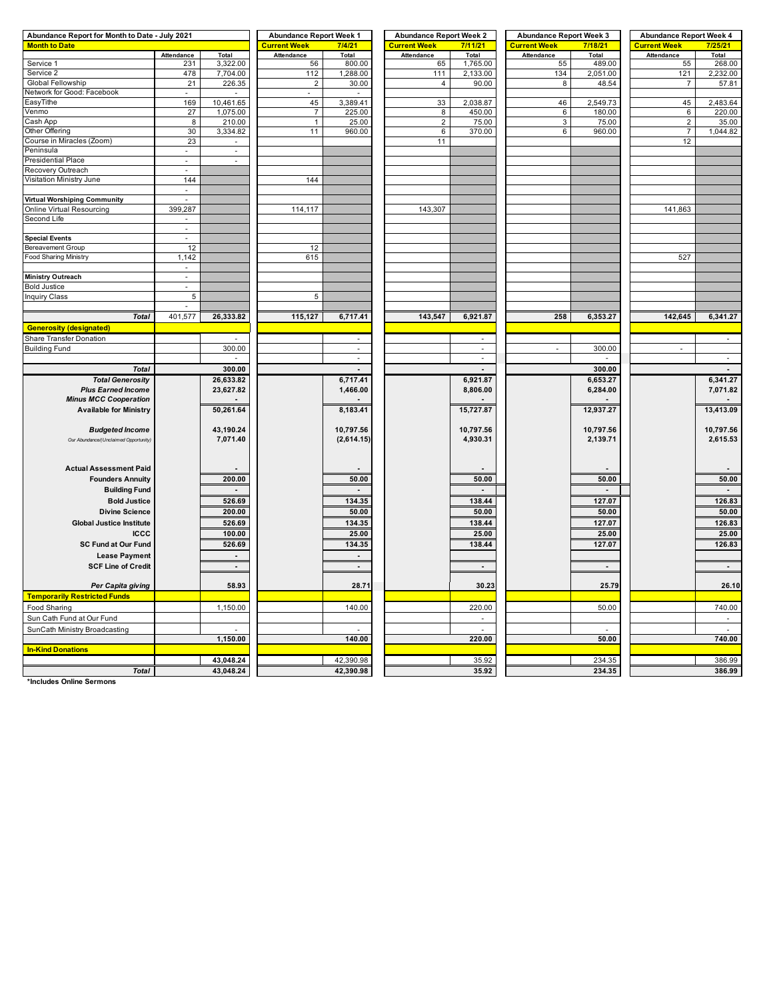| Abundance Report for Month to Date - July 2021 | <b>Abundance Report Week 1</b> |                          | <b>Abundance Report Week 2</b> |                     | <b>Abundance Report Week 3</b> |                     | <b>Abundance Report Week 4</b> |                     |                   |           |
|------------------------------------------------|--------------------------------|--------------------------|--------------------------------|---------------------|--------------------------------|---------------------|--------------------------------|---------------------|-------------------|-----------|
| <b>Month to Date</b>                           |                                | <b>Current Week</b>      | 7/4/21                         | <b>Current Week</b> | 7/11/21                        | <b>Current Week</b> | 7/18/21                        | <b>Current Week</b> | 7/25/21           |           |
|                                                | Attendance                     | Total                    | Attendance                     | Total               | Attendance                     | Total               | Attendance                     | Total               | <b>Attendance</b> | Total     |
| Service 1                                      | 231                            | 3,322.00                 | 56                             | 800.00              | 65                             | 1,765.00            | 55                             | 489.00              | 55                | 268.00    |
| Service 2                                      | 478                            | 7,704.00                 | 112                            | 1,288.00            | 111                            | 2,133.00            | 134                            | 2,051.00            | 121               | 2,232.00  |
| Global Fellowship                              | 21                             | 226.35                   | $\overline{2}$                 | 30.00               | $\overline{4}$                 | 90.00               | 8                              | 48.54               | $\overline{7}$    | 57.81     |
| Network for Good: Facebook                     |                                |                          |                                |                     |                                |                     |                                |                     |                   |           |
| EasyTithe                                      | 169                            | 10,461.65                | 45                             | 3,389.41            | 33                             | 2,038.87            | 46                             | 2,549.73            | 45                | 2,483.64  |
| Venmo                                          | 27                             | 1,075.00                 | $\overline{7}$                 | 225.00              | 8                              | 450.00              | 6                              | 180.00              | 6                 | 220.00    |
| Cash App                                       | 8                              | 210.00                   | $\mathbf{1}$                   | 25.00               | $\overline{2}$                 | 75.00               | 3                              | 75.00               | $\overline{2}$    | 35.00     |
| Other Offering                                 | 30                             | 3,334.82                 | 11                             | 960.00              | 6                              | 370.00              | 6                              | 960.00              | $\overline{7}$    | 1,044.82  |
| Course in Miracles (Zoom)                      | 23                             |                          |                                |                     | 11                             |                     |                                |                     | 12                |           |
| Peninsula                                      |                                | $\overline{\phantom{a}}$ |                                |                     |                                |                     |                                |                     |                   |           |
| Presidential Place                             | $\overline{\phantom{a}}$       |                          |                                |                     |                                |                     |                                |                     |                   |           |
| Recovery Outreach                              | $\sim$                         |                          |                                |                     |                                |                     |                                |                     |                   |           |
| Visitation Ministry June                       | 144                            |                          | 144                            |                     |                                |                     |                                |                     |                   |           |
|                                                |                                |                          |                                |                     |                                |                     |                                |                     |                   |           |
| <b>Virtual Worshiping Community</b>            |                                |                          |                                |                     |                                |                     |                                |                     |                   |           |
| Online Virtual Resourcing                      | 399,287                        |                          | 114, 117                       |                     | 143,307                        |                     |                                |                     | 141,863           |           |
| Second Life                                    | $\mathcal{L}_{\mathcal{A}}$    |                          |                                |                     |                                |                     |                                |                     |                   |           |
|                                                | $\overline{\phantom{a}}$       |                          |                                |                     |                                |                     |                                |                     |                   |           |
| <b>Special Events</b>                          | ä,                             |                          |                                |                     |                                |                     |                                |                     |                   |           |
| <b>Bereavement Group</b>                       | 12                             |                          | 12                             |                     |                                |                     |                                |                     |                   |           |
| <b>Food Sharing Ministry</b>                   | 1,142                          |                          | 615                            |                     |                                |                     |                                |                     | 527               |           |
|                                                | $\omega$                       |                          |                                |                     |                                |                     |                                |                     |                   |           |
| <b>Ministry Outreach</b>                       | ÷.                             |                          |                                |                     |                                |                     |                                |                     |                   |           |
| <b>Bold Justice</b>                            |                                |                          |                                |                     |                                |                     |                                |                     |                   |           |
| <b>Inquiry Class</b>                           | 5                              |                          | 5                              |                     |                                |                     |                                |                     |                   |           |
|                                                | $\overline{\phantom{a}}$       |                          |                                |                     |                                |                     |                                |                     |                   |           |
|                                                | 401,577                        |                          |                                |                     |                                |                     |                                |                     |                   |           |
| <b>Total</b>                                   |                                | 26,333.82                | 115,127                        | 6,717.41            | 143,547                        | 6,921.87            | 258                            | 6,353.27            | 142,645           | 6,341.27  |
| <b>Generosity (designated)</b>                 |                                |                          |                                |                     |                                |                     |                                |                     |                   |           |
| Share Transfer Donation                        |                                |                          |                                |                     |                                |                     |                                |                     |                   |           |
| <b>Building Fund</b>                           |                                | 300.00                   |                                | ÷,                  |                                | ×.                  |                                | 300.00              |                   |           |
|                                                |                                |                          |                                | ÷.                  |                                |                     |                                |                     |                   | ÷         |
| <b>Total</b>                                   |                                | 300.00                   |                                |                     |                                |                     |                                | 300.00              |                   |           |
| <b>Total Generosity</b>                        |                                | 26,633.82                |                                | 6,717.41            |                                | 6,921.87            |                                | 6,653.27            |                   | 6,341.27  |
| <b>Plus Earned Income</b>                      |                                | 23,627.82                |                                | 1,466.00            |                                | 8,806.00            |                                | 6,284.00            |                   | 7,071.82  |
| <b>Minus MCC Cooperation</b>                   |                                |                          |                                |                     |                                |                     |                                |                     |                   |           |
| <b>Available for Ministry</b>                  |                                | 50,261.64                |                                | 8,183.41            |                                | 15,727.87           |                                | 12,937.27           |                   | 13,413.09 |
|                                                |                                |                          |                                |                     |                                |                     |                                |                     |                   |           |
| <b>Budgeted Income</b>                         |                                | 43,190.24                |                                | 10,797.56           |                                | 10,797.56           |                                | 10,797.56           |                   | 10,797.56 |
| Our Abundance/(Unclaimed Opportunity)          |                                | 7,071.40                 |                                | (2,614.15)          |                                | 4,930.31            |                                | 2,139.71            |                   | 2,615.53  |
|                                                |                                |                          |                                |                     |                                |                     |                                |                     |                   |           |
|                                                |                                |                          |                                |                     |                                |                     |                                |                     |                   |           |
| <b>Actual Assessment Paid</b>                  |                                |                          |                                |                     |                                |                     |                                |                     |                   |           |
| <b>Founders Annuity</b>                        |                                | 200.00                   |                                | 50.00               |                                | 50.00               |                                | 50.00               |                   | 50.00     |
|                                                |                                |                          |                                |                     |                                |                     |                                |                     |                   |           |
| <b>Building Fund</b>                           |                                |                          |                                |                     |                                |                     |                                |                     |                   |           |
| <b>Bold Justice</b>                            |                                | 526.69                   |                                | 134.35              |                                | 138.44              |                                | 127.07              |                   | 126.83    |
| <b>Divine Science</b>                          |                                | 200.00                   |                                | 50.00               |                                | 50.00               |                                | 50.00               |                   | 50.00     |
| <b>Global Justice Institute</b>                |                                | 526.69                   |                                | 134.35              |                                | 138.44              |                                | 127.07              |                   | 126.83    |
| <b>ICCC</b>                                    |                                | 100.00                   |                                | 25.00               |                                | 25.00               |                                | 25.00               |                   | 25.00     |
| <b>SC Fund at Our Fund</b>                     |                                | 526.69                   |                                | 134.35              |                                | 138.44              |                                | 127.07              |                   | 126.83    |
|                                                |                                |                          |                                |                     |                                |                     |                                |                     |                   |           |
| <b>Lease Payment</b>                           |                                | $\blacksquare$           |                                | $\blacksquare$      |                                |                     |                                |                     |                   |           |
| <b>SCF Line of Credit</b>                      |                                | $\blacksquare$           |                                |                     |                                |                     |                                |                     |                   |           |
|                                                |                                |                          |                                |                     |                                |                     |                                |                     |                   |           |
| Per Capita giving                              |                                | 58.93                    |                                | 28.71               |                                | 30.23               |                                | 25.79               |                   | 26.10     |
| <b>Temporarily Restricted Funds</b>            |                                |                          |                                |                     |                                |                     |                                |                     |                   |           |
| Food Sharing                                   |                                | 1,150.00                 |                                | 140.00              |                                | 220.00              |                                | 50.00               |                   | 740.00    |
| Sun Cath Fund at Our Fund                      |                                |                          |                                |                     |                                |                     |                                |                     |                   |           |
| SunCath Ministry Broadcasting                  |                                |                          |                                |                     |                                |                     |                                |                     |                   |           |
|                                                |                                | 1,150.00                 |                                | 140.00              |                                | 220.00              |                                | 50.00               |                   | 740.00    |
| <b>In-Kind Donations</b>                       |                                |                          |                                |                     |                                |                     |                                |                     |                   |           |
|                                                |                                | 43,048.24                |                                | 42,390.98           |                                | 35.92               |                                | 234.35              |                   | 386.99    |
|                                                |                                |                          |                                |                     |                                |                     |                                |                     |                   |           |
| <b>Total</b>                                   |                                | 43,048.24                |                                | 42,390.98           |                                | 35.92               |                                | 234.35              |                   | 386.99    |

**\*Includes Online Sermons**